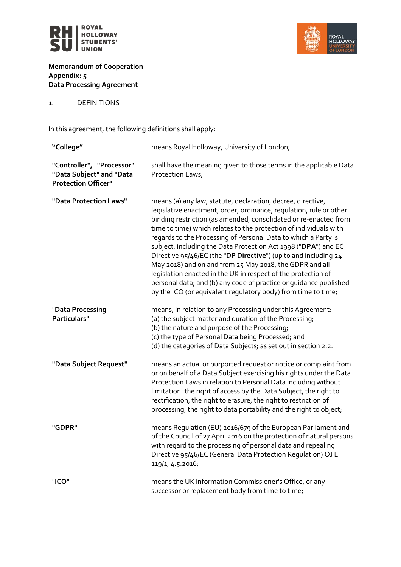



**Memorandum of Cooperation Appendix: 5 Data Processing Agreement**

1. DEFINITIONS

In this agreement, the following definitions shall apply:

| "College"                                                                           | means Royal Holloway, University of London;                                                                                                                                                                                                                                                                                                                                                                                                                                                                                                                                                                                                                                                                                                         |
|-------------------------------------------------------------------------------------|-----------------------------------------------------------------------------------------------------------------------------------------------------------------------------------------------------------------------------------------------------------------------------------------------------------------------------------------------------------------------------------------------------------------------------------------------------------------------------------------------------------------------------------------------------------------------------------------------------------------------------------------------------------------------------------------------------------------------------------------------------|
| "Controller", "Processor"<br>"Data Subject" and "Data<br><b>Protection Officer"</b> | shall have the meaning given to those terms in the applicable Data<br>Protection Laws;                                                                                                                                                                                                                                                                                                                                                                                                                                                                                                                                                                                                                                                              |
| "Data Protection Laws"                                                              | means (a) any law, statute, declaration, decree, directive,<br>legislative enactment, order, ordinance, regulation, rule or other<br>binding restriction (as amended, consolidated or re-enacted from<br>time to time) which relates to the protection of individuals with<br>regards to the Processing of Personal Data to which a Party is<br>subject, including the Data Protection Act 1998 ("DPA") and EC<br>Directive 95/46/EC (the "DP Directive") (up to and including 24<br>May 2018) and on and from 25 May 2018, the GDPR and all<br>legislation enacted in the UK in respect of the protection of<br>personal data; and (b) any code of practice or guidance published<br>by the ICO (or equivalent regulatory body) from time to time; |
| "Data Processing<br>Particulars"                                                    | means, in relation to any Processing under this Agreement:<br>(a) the subject matter and duration of the Processing;<br>(b) the nature and purpose of the Processing;<br>(c) the type of Personal Data being Processed; and<br>(d) the categories of Data Subjects; as set out in section 2.2.                                                                                                                                                                                                                                                                                                                                                                                                                                                      |
| "Data Subject Request"                                                              | means an actual or purported request or notice or complaint from<br>or on behalf of a Data Subject exercising his rights under the Data<br>Protection Laws in relation to Personal Data including without<br>limitation: the right of access by the Data Subject, the right to<br>rectification, the right to erasure, the right to restriction of<br>processing, the right to data portability and the right to object;                                                                                                                                                                                                                                                                                                                            |
| "GDPR"                                                                              | means Regulation (EU) 2016/679 of the European Parliament and<br>of the Council of 27 April 2016 on the protection of natural persons<br>with regard to the processing of personal data and repealing<br>Directive 95/46/EC (General Data Protection Regulation) OJ L<br>119/1, 4.5.2016;                                                                                                                                                                                                                                                                                                                                                                                                                                                           |
| "ICO"                                                                               | means the UK Information Commissioner's Office, or any<br>successor or replacement body from time to time;                                                                                                                                                                                                                                                                                                                                                                                                                                                                                                                                                                                                                                          |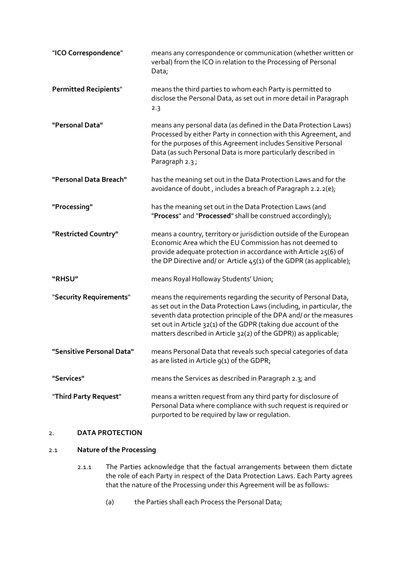| "ICO Correspondence"         | means any correspondence or communication (whether written or<br>verbal) from the ICO in relation to the Processing of Personal<br>Data;                                                                                                                                                                                                            |
|------------------------------|-----------------------------------------------------------------------------------------------------------------------------------------------------------------------------------------------------------------------------------------------------------------------------------------------------------------------------------------------------|
| <b>Permitted Recipients"</b> | means the third parties to whom each Party is permitted to<br>disclose the Personal Data, as set out in more detail in Paragraph<br>2.3                                                                                                                                                                                                             |
| "Personal Data"              | means any personal data (as defined in the Data Protection Laws)<br>Processed by either Party in connection with this Agreement, and<br>for the purposes of this Agreement includes Sensitive Personal<br>Data (as such Personal Data is more particularly described in<br>Paragraph 2.3;                                                           |
| "Personal Data Breach"       | has the meaning set out in the Data Protection Laws and for the<br>avoidance of doubt, includes a breach of Paragraph 2.2.2(e);                                                                                                                                                                                                                     |
| "Processing"                 | has the meaning set out in the Data Protection Laws (and<br>"Process" and "Processed" shall be construed accordingly);                                                                                                                                                                                                                              |
| "Restricted Country"         | means a country, territory or jurisdiction outside of the European<br>Economic Area which the EU Commission has not deemed to<br>provide adequate protection in accordance with Article 25(6) of<br>the DP Directive and/ or Article $45(1)$ of the GDPR (as applicable);                                                                           |
| "RHSU"                       | means Royal Holloway Students' Union;                                                                                                                                                                                                                                                                                                               |
| "Security Requirements"      | means the requirements regarding the security of Personal Data,<br>as set out in the Data Protection Laws (including, in particular, the<br>seventh data protection principle of the DPA and/ or the measures<br>set out in Article 32(1) of the GDPR (taking due account of the<br>matters described in Article 32(2) of the GDPR)) as applicable; |
| "Sensitive Personal Data"    | means Personal Data that reveals such special categories of data<br>as are listed in Article 9(1) of the GDPR;                                                                                                                                                                                                                                      |
| "Services"                   | means the Services as described in Paragraph 2.3; and                                                                                                                                                                                                                                                                                               |
| "Third Party Request"        | means a written request from any third party for disclosure of<br>Personal Data where compliance with such request is required or<br>purported to be required by law or regulation.                                                                                                                                                                 |

## 2. **DATA PROTECTION**

## <span id="page-1-0"></span>2.1 **Nature of the Processing**

- 2.1.1 The Parties acknowledge that the factual arrangements between them dictate the role of each Party in respect of the Data Protection Laws. Each Party agrees that the nature of the Processing under this Agreement will be as follows:
	- (a) the Parties shall each Process the Personal Data;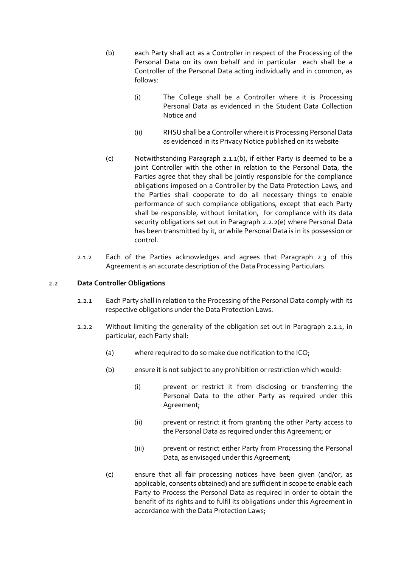- <span id="page-2-0"></span>(b) each Party shall act as a Controller in respect of the Processing of the Personal Data on its own behalf and in particular each shall be a Controller of the Personal Data acting individually and in common, as follows:
	- (i) The College shall be a Controller where it is Processing Personal Data as evidenced in the Student Data Collection Notice and
	- (ii) RHSU shall be a Controller where it is Processing Personal Data as evidenced in its Privacy Notice published on its website
- (c) Notwithstanding Paragraph [2.1.1](#page-1-0)[\(b\),](#page-2-0) if either Party is deemed to be a joint Controller with the other in relation to the Personal Data, the Parties agree that they shall be jointly responsible for the compliance obligations imposed on a Controller by the Data Protection Laws, and the Parties shall cooperate to do all necessary things to enable performance of such compliance obligations, except that each Party shall be responsible, without limitation, for compliance with its data security obligations set out in Paragraph [2.2.2\(e\)](#page-3-0) where Personal Data has been transmitted by it, or while Personal Data is in its possession or control.
- 2.1.2 Each of the Parties acknowledges and agrees that Paragraph 2.3 of this Agreement is an accurate description of the Data Processing Particulars.

## <span id="page-2-1"></span>2.2 **Data Controller Obligations**

- 2.2.1 Each Party shall in relation to the Processing of the Personal Data comply with its respective obligations under the Data Protection Laws.
- <span id="page-2-2"></span>2.2.2 Without limiting the generality of the obligation set out in Paragraph [2.2.1,](#page-2-1) in particular, each Party shall:
	- (a) where required to do so make due notification to the ICO;
	- (b) ensure it is not subject to any prohibition or restriction which would:
		- (i) prevent or restrict it from disclosing or transferring the Personal Data to the other Party as required under this Agreement;
		- (ii) prevent or restrict it from granting the other Party access to the Personal Data as required under this Agreement; or
		- (iii) prevent or restrict either Party from Processing the Personal Data, as envisaged under this Agreement;
	- (c) ensure that all fair processing notices have been given (and/or, as applicable, consents obtained) and are sufficient in scope to enable each Party to Process the Personal Data as required in order to obtain the benefit of its rights and to fulfil its obligations under this Agreement in accordance with the Data Protection Laws;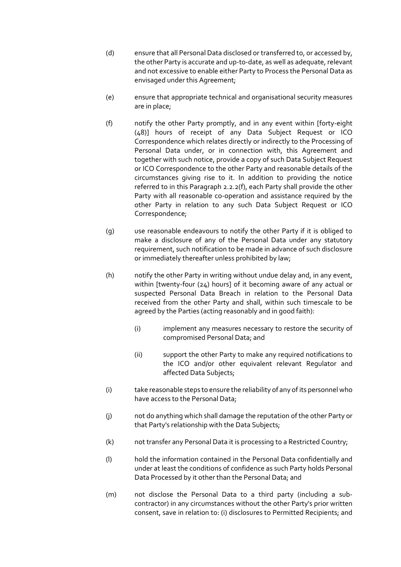- (d) ensure that all Personal Data disclosed or transferred to, or accessed by, the other Party is accurate and up-to-date, as well as adequate, relevant and not excessive to enable either Party to Process the Personal Data as envisaged under this Agreement;
- <span id="page-3-0"></span>(e) ensure that appropriate technical and organisational security measures are in place;
- <span id="page-3-1"></span>(f) notify the other Party promptly, and in any event within [forty-eight (48)] hours of receipt of any Data Subject Request or ICO Correspondence which relates directly or indirectly to the Processing of Personal Data under, or in connection with, this Agreement and together with such notice, provide a copy of such Data Subject Request or ICO Correspondence to the other Party and reasonable details of the circumstances giving rise to it. In addition to providing the notice referred to in this Paragraph [2.2.2](#page-2-2)[\(f\),](#page-3-1) each Party shall provide the other Party with all reasonable co-operation and assistance required by the other Party in relation to any such Data Subject Request or ICO Correspondence;
- (g) use reasonable endeavours to notify the other Party if it is obliged to make a disclosure of any of the Personal Data under any statutory requirement, such notification to be made in advance of such disclosure or immediately thereafter unless prohibited by law;
- (h) notify the other Party in writing without undue delay and, in any event, within [twenty-four (24) hours] of it becoming aware of any actual or suspected Personal Data Breach in relation to the Personal Data received from the other Party and shall, within such timescale to be agreed by the Parties (acting reasonably and in good faith):
	- (i) implement any measures necessary to restore the security of compromised Personal Data; and
	- (ii) support the other Party to make any required notifications to the ICO and/or other equivalent relevant Regulator and affected Data Subjects;
- (i) take reasonable steps to ensure the reliability of any of its personnel who have access to the Personal Data;
- (j) not do anything which shall damage the reputation of the other Party or that Party's relationship with the Data Subjects;
- (k) not transfer any Personal Data it is processing to a Restricted Country;
- (l) hold the information contained in the Personal Data confidentially and under at least the conditions of confidence as such Party holds Personal Data Processed by it other than the Personal Data; and
- (m) not disclose the Personal Data to a third party (including a subcontractor) in any circumstances without the other Party's prior written consent, save in relation to: (i) disclosures to Permitted Recipients; and